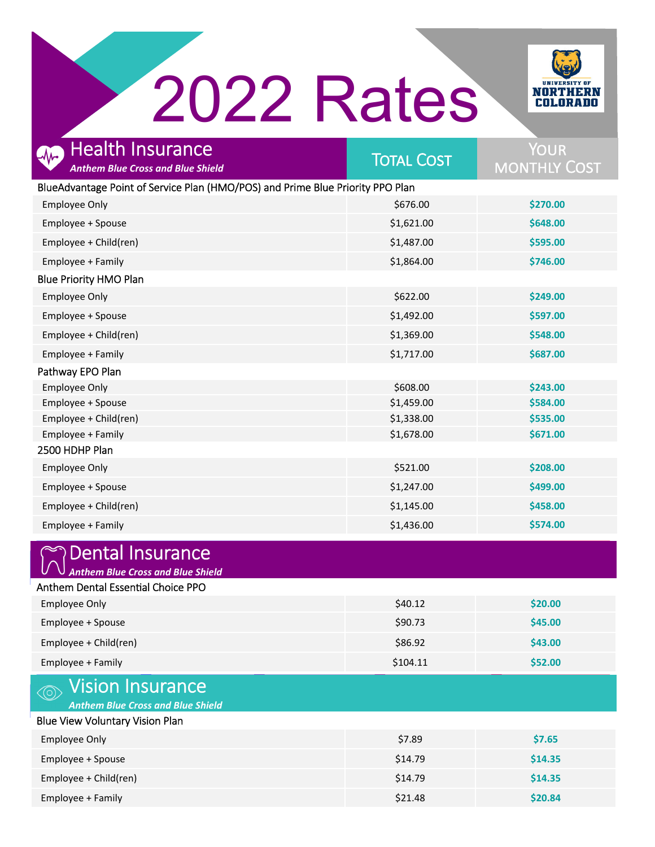## 2022 Rates



| <b>Health Insurance</b><br><b>Anthem Blue Cross and Blue Shield</b>                    | <b>TOTAL COST</b> | YOUR<br><b>MONTHLY COST</b> |
|----------------------------------------------------------------------------------------|-------------------|-----------------------------|
| BlueAdvantage Point of Service Plan (HMO/POS) and Prime Blue Priority PPO Plan         |                   |                             |
| <b>Employee Only</b>                                                                   | \$676.00          | \$270.00                    |
| Employee + Spouse                                                                      | \$1,621.00        | \$648.00                    |
| Employee + Child(ren)                                                                  | \$1,487.00        | \$595.00                    |
| Employee + Family                                                                      | \$1,864.00        | \$746.00                    |
| <b>Blue Priority HMO Plan</b>                                                          |                   |                             |
| <b>Employee Only</b>                                                                   | \$622.00          | \$249.00                    |
| Employee + Spouse                                                                      | \$1,492.00        | \$597.00                    |
| Employee + Child(ren)                                                                  | \$1,369.00        | \$548.00                    |
| Employee + Family                                                                      | \$1,717.00        | \$687.00                    |
| Pathway EPO Plan                                                                       |                   |                             |
| <b>Employee Only</b>                                                                   | \$608.00          | \$243.00                    |
| Employee + Spouse                                                                      | \$1,459.00        | \$584.00                    |
| Employee + Child(ren)                                                                  | \$1,338.00        | \$535.00                    |
| Employee + Family                                                                      | \$1,678.00        | \$671.00                    |
| 2500 HDHP Plan                                                                         |                   |                             |
| <b>Employee Only</b>                                                                   | \$521.00          | \$208.00                    |
| Employee + Spouse                                                                      | \$1,247.00        | \$499.00                    |
| Employee + Child(ren)                                                                  | \$1,145.00        | \$458.00                    |
| Employee + Family                                                                      | \$1,436.00        | \$574.00                    |
| <b>Dental Insurance</b><br><b>Anthem Blue Cross and Blue Shield</b>                    |                   |                             |
| Anthem Dental Essential Choice PPO                                                     |                   |                             |
| <b>Employee Only</b>                                                                   | \$40.12           | \$20.00                     |
| Employee + Spouse                                                                      | \$90.73           | \$45.00                     |
| Employee + Child(ren)                                                                  | \$86.92           | \$43.00                     |
| Employee + Family                                                                      | \$104.11          | \$52.00                     |
| Vision Insurance<br>$\left( \circ \right)$<br><b>Anthem Blue Cross and Blue Shield</b> |                   |                             |
| <b>Blue View Voluntary Vision Plan</b>                                                 |                   |                             |
| <b>Employee Only</b>                                                                   | \$7.89            | \$7.65                      |
| Employee + Spouse                                                                      | \$14.79           | \$14.35                     |
| Employee + Child(ren)                                                                  | \$14.79           | \$14.35                     |
| Employee + Family                                                                      | \$21.48           | \$20.84                     |